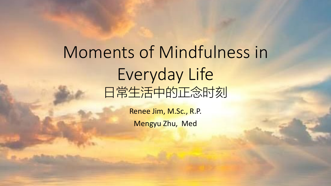## Moments of Mindfulness in Everyday Life 日常生活中的正念时刻

Renee Jim, M.Sc., R.P. Mengyu Zhu, Med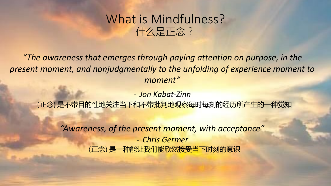#### What is Mindfulness? 什么是正念?

*"The awareness that emerges through paying attention on purpose, in the present moment, and nonjudgmentally to the unfolding of experience moment to moment"*

- *Jon Kabat-Zinn*

(正念) 是不带目的性地关注当下和不带批判地观察每时每刻的经历所产生的一种觉知

*"Awareness, of the present moment, with acceptance"* - *Chris Germer* (正念) 是一种能让我们能欣然接受当下时刻的意识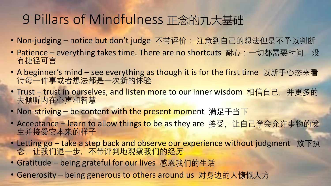#### 9 Pillars of Mindfulness 正念的九大基础

- Non-judging notice but don't judge 不带评价: 注意到自己的想法但是不予以判断
- Patience everything takes time. There are no shortcuts 耐心: 一切都需要时间, 没 有捷径可言
- A beginner's mind see everything as though it is for the first time 以新手心态来看 待每一件事或者想法都是一次新的体验
- Trust trust in ourselves, and listen more to our inner wisdom 相信自己, 并更多的 去倾听内在心声和智慧
- Non-striving be content with the present moment 满足于当下
- Acceptance learn to allow things to be as they are 接受, 让自己学会允许事物的发 生并接受它本来的样子
- Letting go take a step back and observe our experience without judgment 放下执 念,让我们退一步,不带评判地观察我们的经历
- Gratitude being grateful for our lives 感恩我们的生活
- Generosity being generous to others around us 对身边的人慷慨大方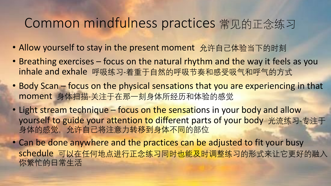#### Common mindfulness practices 常见的正念练习

- Allow yourself to stay in the present moment 允许自己体验当下的时刻
- Breathing exercises focus on the natural rhythm and the way it feels as you inhale and exhale 呼吸练习-着重于自然的呼吸节奏和感受吸气和呼气的方式
- Body Scan focus on the physical sensations that you are experiencing in that moment 身体扫描-关注于在那一刻身体所经历和体验的感觉
- Light stream technique focus on the sensations in your body and allow yourself to guide your attention to different parts of your body 光流练习-专注于 身体的感觉,允许自己将注意力转移到身体不同的部位
- Can be done anywhere and the practices can be adjusted to fit your busy schedule 可以在任何地点进行正念练习同时也能及时调整练习的形式来让它更好的融入 你繁忙的日常生活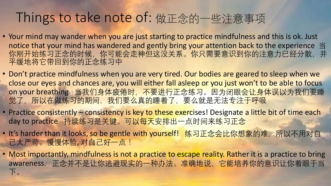#### Things to take note of: 做正念的一些注意事项

- Your mind may wander when you are just starting to practice mindfulness and this is ok. Just notice that your mind has wandered and gently bring your attention back to the experience 当 你刚开始练习正念的时候,你可能会走神但这没关系。你只需要意识到你的注意力已经分散,并 平缓地将它带回到你的正念练习中
- Don't practice mindfulness when you are very tired. Our bodies are geared to sleep when we close our eyes and chances are, you will either fall asleep or you just won't to be able to focus on your breathing 当我们身体疲倦时, 不要进行正念练习。因为闭眼会让身体误以为我们要睡 觉了,所以在做练习的期间,我们要么真的睡着了,要么就是无法专注于呼吸
- Practice consistently consistency is key to these exercises! Designate a little bit of time each day to practice 持续练习是关键。可以每天安排出一点时间来练习正念
- It's harder than it looks, so be gentle with yourself! 练习正念会比你想象的难, 所以不用对自 己太严苛。慢慢体验, 对自己好一点!
- Most importantly, mindfulness is not a practice to escape reality. Rather it is a practice to bring awareness. 正念并不是让你逃避现实的一种办法。准确地说,它能培养你的意识让你着眼于当 下。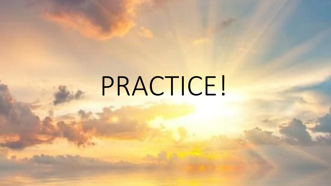# PRACTICE!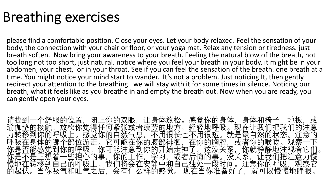#### Breathing exercises

please find a comfortable position. Close your eyes. Let your body relaxed. Feel the sensation of your body, the connection with your chair or floor, or your yoga mat. Relax any tension or tiredness. just breath soften. Now bring your awareness to your breath. Feeling the natural blow of the breath, not too long not too short, just natural. notice where you feel your breath in your body, it might be in your abdomen, your chest, or in your throat. See if you can feel the sensation of the breath. one breath at a time. You might notice your mind start to wander. It's not a problem. Just noticing It, then gently redirect your attention to the breathing. we will stay with it for some times in silence. Noticing our breath, what it feels like as you breathe in and empty the breath out. Now when you are ready, you can gently open your eyes.

请找到一个舒服的位置,闭上你的双眼,让身体放松。感觉你的身体,身体和椅子,地板,或 瑜伽垫的接触。放松你觉得任何紧张或者疲劳的地方。轻轻地呼吸。现在让我们把我们的注意 力转移到你的呼吸上。感觉你的自然气息,不用很长也不用很短。就是最自然的状态。注意的 呼吸在身体的哪个部位游走。它可能在你的腹部徘徊,在你的胸腔,或者你的喉咙。观察 你是否能感觉到你的呼吸。你可能注意到你的开始走神了。这没关系,你就静静地注视着它们。 你是不是正想着一些担心的事,你的工作,学习,或者后悔的事。没关系,让我们把注意力慢 慢地在转移到自己的呼吸上。我们将会在安静中和自己独处一段时间。注意你的呼吸,观察它 的起伏。当你吸气和吐气之后, 会有什么样的感觉。 现在当你准备好了, 就可以慢慢地睁眼。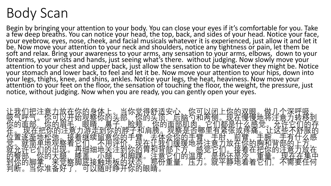## Body Scan

Begin by bringing your attention to your body. You can close your eyes if it's comfortable for you. Take<br>a few deep breaths. You can notice your head, the top, back, and sides of your head. Notice your face, your eyebrow, eyes, nose, cheek, and facial musicals whatever it is experienced, just allow it and let it be. Now move your attention to your neck and shoulders, notice any tightness or pain, let them be soft and relax. Bring your awareness to your arms, any sensation to your arms, elbows, down to your<br>forearms, your wrists and hands, just seeing what's there. without judging. Now slowly move your attention to your chest and upper back, just allow the sensation to be whatever they might be. Notice your stomach and lower back, to feel and let it be. Now move your attention to your hips, down into your legs, thighs, knee, and shins, ankles. Notice your legs, the heat, heaviness. Now move your attention to your feet on the floor, the sensation of touching the floor, the weight, the pressure, just notice, without judging. Now when you are ready, you can gently open your eyes.

| '- <u>我,</u><br>意你你<br>낚<br>皈                             | 适安心<br>得舒<br>· 尔觉<br>· 脸颊<br>当地<br>炋                                                                                           | 憋.<br>呼吸。<br><sup>飞</sup> 移到      |
|-----------------------------------------------------------|--------------------------------------------------------------------------------------------------------------------------------|-----------------------------------|
| 【察晴志<br>郊<br>始<br>平<br>·陌鼻<br>·歴<br>头<br>阀眼<br>的          | 你现是张<br>茬<br><sup>兮</sup> 侧。<br>6年什或是在<br>在什么疼痛<br>在你的脑子里<br>和<br>1元脑句<br>高肌肉<br><i>熱</i> 是百<br>'的<br>▽的头<br>,肩膀。<br>肩膀。<br>夫体 | 洋<br>意<br>、受 <sup>6</sup> '<br>ᡩ  |
| 面部<br>现在<br>眉注<br>徐在位觉就的到判的。置。允馨你断<br>毛意接                 | 都紧肘<br>面<br>里<br>有<br>脖<br>电                                                                                                   | 的服会<br>些                          |
| 游走到<br>继续算<br>'们<br> 竹蓋用<br>北地单位<br>逐就许部分<br>着它<br>地<br>着 | 和臂坝<br>哪臂将感度为<br>出现<br>你的<br>丰<br>丰<br>地<br>意<br>放                                                                             | 腕和<br>王<br>右                      |
| 语细地,                                                      | 1于。抚在让我们的理由,你的眼睛。<br>小姐的男子,我们就是一个男子,不过有一个男子,不过有一个男子,那是不是不过,我们的眼睛。<br>了<br>「不是」<br>「全有」<br>接<br>$\overrightarrow{y}$<br>到和<br>巟 | 胸把重片<br>消散的<br>的注意<br>《现在1        |
| 旨膝脚<br>细盖底<br>们你拿你<br>你拿你<br> 的出<br> 的大米<br> 准冬<br>未服     | 执S不<br>半静<br>是<br>就<br>章瓶<br>温压<br> 的<br>全<br>看                                                                                | ·放在日<br>--集中<br>任何<br>怙<br>囂<br>不 |
| \<br>按<br>脚<br>察<br>·权<br>语<br>触随<br>当<br>_ 日寸<br>可<br>闰  | 量<br>着<br>的开                                                                                                                   | 要<br>需                            |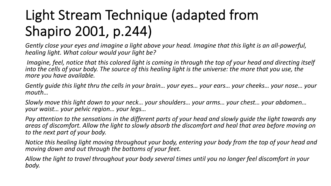## Light Stream Technique (adapted from Shapiro 2001, p.244)

*Gently close your eyes and imagine a light above your head. Imagine that this light is an all-powerful, healing light. What colour would your light be?*

*Imagine, feel, notice that this colored light is coming in through the top of your head and directing itself into the cells of your body. The source of this healing light is the universe: the more that you use, the more you have available.* 

*Gently guide this light thru the cells in your brain… your eyes… your ears… your cheeks… your nose… your mouth…* 

*Slowly move this light down to your neck… your shoulders… your arms… your chest… your abdomen… your waist… your pelvic region… your legs…*

*Pay attention to the sensations in the different parts of your head and slowly guide the light towards any areas of discomfort. Allow the light to slowly absorb the discomfort and heal that area before moving on to the next part of your body.*

*Notice this healing light moving throughout your body, entering your body from the top of your head and moving down and out through the bottoms of your feet.*

*Allow the light to travel throughout your body several times until you no longer feel discomfort in your body.*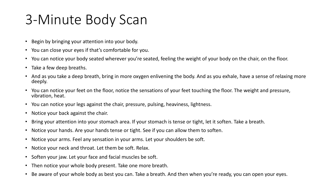### 3-Minute Body Scan

- Begin by bringing your attention into your body.
- You can close your eyes if that's comfortable for you.
- You can notice your body seated wherever you're seated, feeling the weight of your body on the chair, on the floor.
- Take a few deep breaths.
- And as you take a deep breath, bring in more oxygen enlivening the body. And as you exhale, have a sense of relaxing more deeply.
- You can notice your feet on the floor, notice the sensations of your feet touching the floor. The weight and pressure, vibration, heat.
- You can notice your legs against the chair, pressure, pulsing, heaviness, lightness.
- Notice your back against the chair.
- Bring your attention into your stomach area. If your stomach is tense or tight, let it soften. Take a breath.
- Notice your hands. Are your hands tense or tight. See if you can allow them to soften.
- Notice your arms. Feel any sensation in your arms. Let your shoulders be soft.
- Notice your neck and throat. Let them be soft. Relax.
- Soften your jaw. Let your face and facial muscles be soft.
- Then notice your whole body present. Take one more breath.
- Be aware of your whole body as best you can. Take a breath. And then when you're ready, you can open your eyes.